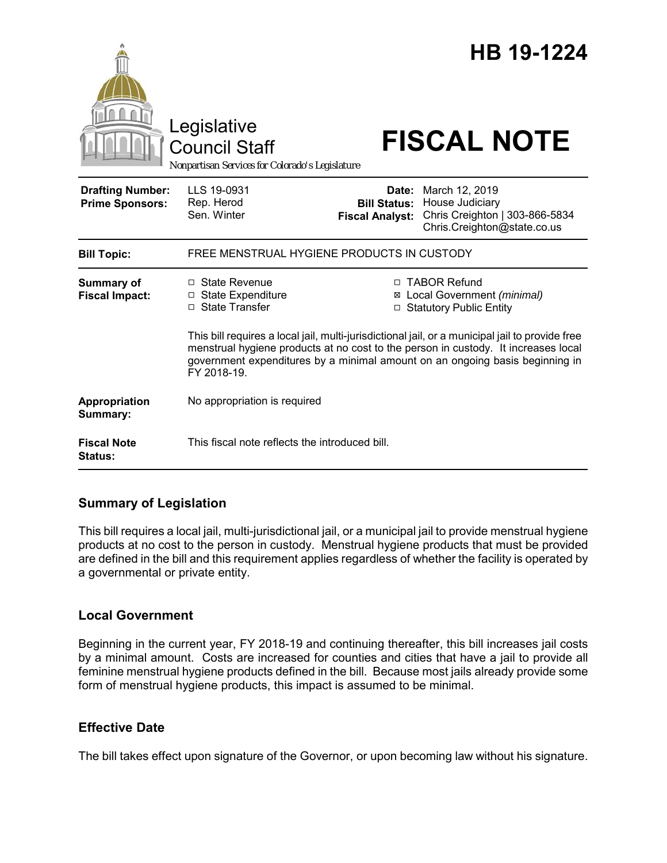|                                                   | Legislative<br><b>Council Staff</b><br>Nonpartisan Services for Colorado's Legislature                                                                                                                                                                                               |                                                        | HB 19-1224<br><b>FISCAL NOTE</b>                                                                   |
|---------------------------------------------------|--------------------------------------------------------------------------------------------------------------------------------------------------------------------------------------------------------------------------------------------------------------------------------------|--------------------------------------------------------|----------------------------------------------------------------------------------------------------|
| <b>Drafting Number:</b><br><b>Prime Sponsors:</b> | LLS 19-0931<br>Rep. Herod<br>Sen. Winter                                                                                                                                                                                                                                             | Date:<br><b>Bill Status:</b><br><b>Fiscal Analyst:</b> | March 12, 2019<br>House Judiciary<br>Chris Creighton   303-866-5834<br>Chris.Creighton@state.co.us |
| <b>Bill Topic:</b>                                | FREE MENSTRUAL HYGIENE PRODUCTS IN CUSTODY                                                                                                                                                                                                                                           |                                                        |                                                                                                    |
| Summary of<br><b>Fiscal Impact:</b>               | □ State Revenue<br>□ State Expenditure<br>□ State Transfer                                                                                                                                                                                                                           |                                                        | □ TABOR Refund<br>⊠ Local Government (minimal)<br>□ Statutory Public Entity                        |
|                                                   | This bill requires a local jail, multi-jurisdictional jail, or a municipal jail to provide free<br>menstrual hygiene products at no cost to the person in custody. It increases local<br>government expenditures by a minimal amount on an ongoing basis beginning in<br>FY 2018-19. |                                                        |                                                                                                    |
| Appropriation<br>Summary:                         | No appropriation is required                                                                                                                                                                                                                                                         |                                                        |                                                                                                    |
| <b>Fiscal Note</b><br>Status:                     | This fiscal note reflects the introduced bill.                                                                                                                                                                                                                                       |                                                        |                                                                                                    |

## **Summary of Legislation**

This bill requires a local jail, multi-jurisdictional jail, or a municipal jail to provide menstrual hygiene products at no cost to the person in custody. Menstrual hygiene products that must be provided are defined in the bill and this requirement applies regardless of whether the facility is operated by a governmental or private entity.

## **Local Government**

Beginning in the current year, FY 2018-19 and continuing thereafter, this bill increases jail costs by a minimal amount. Costs are increased for counties and cities that have a jail to provide all feminine menstrual hygiene products defined in the bill. Because most jails already provide some form of menstrual hygiene products, this impact is assumed to be minimal.

## **Effective Date**

The bill takes effect upon signature of the Governor, or upon becoming law without his signature.